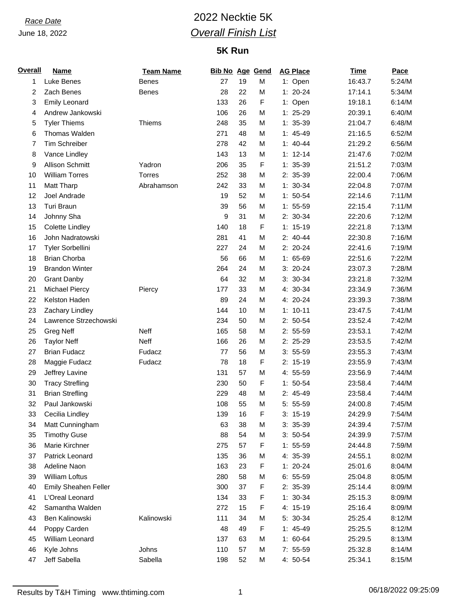# *Race Date* 2022 Necktie 5K *Overall Finish List*

## **5K Run**

| <b>Overall</b> | <b>Name</b>            | <b>Team Name</b> | <b>Bib No Age Gend</b> |    |   | <b>AG Place</b> | <b>Time</b>        | <b>Pace</b>      |
|----------------|------------------------|------------------|------------------------|----|---|-----------------|--------------------|------------------|
| 1              | Luke Benes             | Benes            | 27                     | 19 | M | 1: Open         | 16:43.7            | 5:24/M           |
| 2              | Zach Benes             | <b>Benes</b>     | 28                     | 22 | M | $1: 20-24$      | 17:14.1            | 5:34/M           |
| 3              | <b>Emily Leonard</b>   |                  | 133                    | 26 | F | 1: Open         | 19:18.1            | 6:14/M           |
| 4              | Andrew Jankowski       |                  | 106                    | 26 | M | $1: 25-29$      | 20:39.1            | 6:40/M           |
| 5              | <b>Tyler Thiems</b>    | <b>Thiems</b>    | 248                    | 35 | M | $1: 35-39$      | 21:04.7            | 6:48/M           |
| 6              | Thomas Walden          |                  | 271                    | 48 | M | $1: 45-49$      | 21:16.5            | 6:52/M           |
| 7              | <b>Tim Schreiber</b>   |                  | 278                    | 42 | M | $1: 40 - 44$    | 21:29.2            | 6:56/M           |
| 8              | Vance Lindley          |                  | 143                    | 13 | M | $1: 12 - 14$    | 21:47.6            | 7:02/M           |
| 9              | <b>Allison Schmitt</b> | Yadron           | 206                    | 35 | F | $1: 35-39$      | 21:51.2            | 7:03/M           |
| 10             | <b>William Torres</b>  | Torres           | 252                    | 38 | M | $2: 35-39$      | 22:00.4            | 7:06/M           |
| 11             | Matt Tharp             | Abrahamson       | 242                    | 33 | M | $1: 30-34$      | 22:04.8            | 7:07/M           |
| 12             | Joel Andrade           |                  | 19                     | 52 | M | $1: 50-54$      | 22:14.6            | 7:11/M           |
| 13             | Turi Braun             |                  | 39                     | 56 | M | $1: 55-59$      | 22:15.4            | 7:11/M           |
| 14             | Johnny Sha             |                  | 9                      | 31 | M | $2: 30-34$      | 22:20.6            | 7:12/M           |
| 15             | <b>Colette Lindley</b> |                  | 140                    | 18 | F | $1: 15-19$      | 22:21.8            | 7:13/M           |
| 16             | John Nadratowski       |                  | 281                    | 41 | M | $2: 40-44$      | 22:30.8            | 7:16/M           |
| 17             | Tyler Sorbellini       |                  | 227                    | 24 | M | $2: 20-24$      | 22:41.6            | 7:19/M           |
| 18             | <b>Brian Chorba</b>    |                  | 56                     | 66 | M | $1: 65-69$      | 22:51.6            | 7:22/M           |
| 19             | <b>Brandon Winter</b>  |                  | 264                    | 24 | M | $3: 20-24$      | 23:07.3            | 7:28/M           |
| 20             | <b>Grant Danby</b>     |                  | 64                     | 32 | M | $3: 30-34$      | 23:21.8            | 7:32/M           |
| 21             | <b>Michael Piercy</b>  | Piercy           | 177                    | 33 | M | 4: 30-34        | 23:34.9            | 7:36/M           |
| 22             | Kelston Haden          |                  | 89                     | 24 | M | 4: 20-24        | 23:39.3            | 7:38/M           |
| 23             | Zachary Lindley        |                  | 144                    | 10 | M | $1: 10-11$      | 23:47.5            | 7:41/M           |
| 24             | Lawrence Strzechowski  |                  | 234                    | 50 | M | $2: 50-54$      | 23:52.4            | 7:42/M           |
| 25             | <b>Greg Neff</b>       | <b>Neff</b>      | 165                    | 58 | M | $2: 55-59$      | 23:53.1            | 7:42/M           |
| 26             | <b>Taylor Neff</b>     | Neff             | 166                    | 26 | M | $2: 25-29$      | 23:53.5            | 7:42/M           |
| 27             | <b>Brian Fudacz</b>    | Fudacz           | 77                     | 56 | M | $3: 55-59$      | 23:55.3            | 7:43/M           |
| 28             | Maggie Fudacz          | Fudacz           | 78                     | 18 | F | $2: 15-19$      | 23:55.9            | 7:43/M           |
| 29             |                        |                  | 131                    | 57 | M | 4: 55-59        | 23:56.9            | 7:44/M           |
|                | Jeffrey Lavine         |                  |                        |    |   | $1: 50-54$      | 23:58.4            |                  |
| 30             | <b>Tracy Strefling</b> |                  | 230                    | 50 | F |                 |                    | 7:44/M           |
| 31             | <b>Brian Strefling</b> |                  | 229                    | 48 | M | 2: 45-49        | 23:58.4            | 7:44/M           |
| 32             | Paul Jankowski         |                  | 108                    | 55 | M | 5: 55-59        | 24:00.8<br>24:29.9 | 7:45/M<br>7:54/M |
| 33             | Cecilia Lindley        |                  | 139                    | 16 | F | $3: 15-19$      |                    |                  |
| 34             | Matt Cunningham        |                  | 63                     | 38 | M | $3: 35-39$      | 24:39.4            | 7:57/M           |
| 35             | <b>Timothy Guse</b>    |                  | 88                     | 54 | M | $3: 50-54$      | 24:39.9            | 7:57/M           |
| 36             | Marie Kirchner         |                  | 275                    | 57 | F | $1: 55-59$      | 24:44.8            | 7:59/M           |
| 37             | Patrick Leonard        |                  | 135                    | 36 | M | 4: 35-39        | 24:55.1            | 8:02/M           |
| 38             | Adeline Naon           |                  | 163                    | 23 | F | $1: 20-24$      | 25:01.6            | 8:04/M           |
| 39             | William Loftus         |                  | 280                    | 58 | M | $6: 55-59$      | 25:04.8            | 8:05/M           |
| 40             | Emily Sheahen Feller   |                  | 300                    | 37 | F | 2: 35-39        | 25:14.4            | 8:09/M           |
| 41             | L'Oreal Leonard        |                  | 134                    | 33 | F | $1: 30-34$      | 25:15.3            | 8:09/M           |
| 42             | Samantha Walden        |                  | 272                    | 15 | F | 4: 15-19        | 25:16.4            | 8:09/M           |
| 43             | Ben Kalinowski         | Kalinowski       | 111                    | 34 | M | 5: 30-34        | 25:25.4            | 8:12/M           |
| 44             | Poppy Carden           |                  | 48                     | 49 | F | $1: 45-49$      | 25:25.5            | 8:12/M           |
| 45             | William Leonard        |                  | 137                    | 63 | M | $1: 60-64$      | 25:29.5            | 8:13/M           |
| 46             | Kyle Johns             | Johns            | 110                    | 57 | M | $7: 55-59$      | 25:32.8            | 8:14/M           |
| 47             | Jeff Sabella           | Sabella          | 198                    | 52 | M | 4: 50-54        | 25:34.1            | 8:15/M           |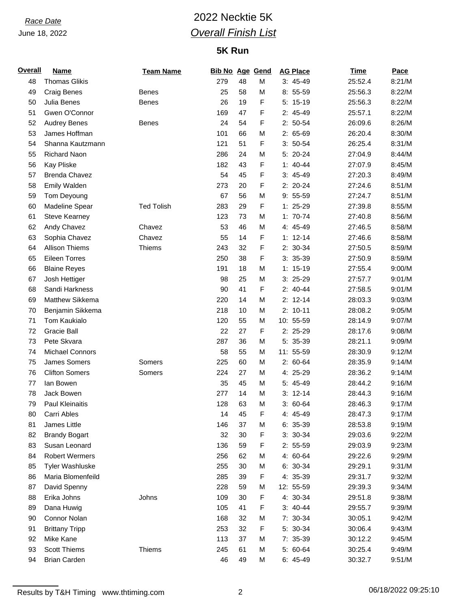# *Race Date* 2022 Necktie 5K *Overall Finish List*

## **5K Run**

| <b>Overall</b> | <b>Name</b>            | <b>Team Name</b>  | <b>Bib No Age Gend</b> |    |   | <b>AG Place</b> | <b>Time</b> | Pace   |
|----------------|------------------------|-------------------|------------------------|----|---|-----------------|-------------|--------|
| 48             | <b>Thomas Glikis</b>   |                   | 279                    | 48 | M | $3: 45-49$      | 25:52.4     | 8:21/M |
| 49             | <b>Craig Benes</b>     | <b>Benes</b>      | 25                     | 58 | M | $8:55-59$       | 25:56.3     | 8:22/M |
| 50             | Julia Benes            | <b>Benes</b>      | 26                     | 19 | F | 5: 15-19        | 25:56.3     | 8:22/M |
| 51             | Gwen O'Connor          |                   | 169                    | 47 | F | 2: 45-49        | 25:57.1     | 8:22/M |
| 52             | <b>Audrey Benes</b>    | <b>Benes</b>      | 24                     | 54 | F | $2: 50-54$      | 26:09.6     | 8:26/M |
| 53             | James Hoffman          |                   | 101                    | 66 | M | $2: 65-69$      | 26:20.4     | 8:30/M |
| 54             | Shanna Kautzmann       |                   | 121                    | 51 | F | $3: 50-54$      | 26:25.4     | 8:31/M |
| 55             | <b>Richard Naon</b>    |                   | 286                    | 24 | M | 5: 20-24        | 27:04.9     | 8:44/M |
| 56             | Kay Pliske             |                   | 182                    | 43 | F | $1: 40-44$      | 27:07.9     | 8:45/M |
| 57             | <b>Brenda Chavez</b>   |                   | 54                     | 45 | F | $3:45-49$       | 27:20.3     | 8:49/M |
| 58             | <b>Emily Walden</b>    |                   | 273                    | 20 | F | $2: 20-24$      | 27:24.6     | 8:51/M |
| 59             | Tom Deyoung            |                   | 67                     | 56 | M | $9:55-59$       | 27:24.7     | 8:51/M |
| 60             | Madeline Spear         | <b>Ted Tolish</b> | 283                    | 29 | F | $1: 25-29$      | 27:39.8     | 8:55/M |
| 61             | <b>Steve Kearney</b>   |                   | 123                    | 73 | M | $1: 70-74$      | 27:40.8     | 8:56/M |
| 62             | Andy Chavez            | Chavez            | 53                     | 46 | M | 4: 45-49        | 27:46.5     | 8:58/M |
| 63             | Sophia Chavez          | Chavez            | 55                     | 14 | F | $1: 12 - 14$    | 27:46.6     | 8:58/M |
| 64             | <b>Allison Thiems</b>  | Thiems            | 243                    | 32 | F | $2: 30-34$      | 27:50.5     | 8:59/M |
| 65             | <b>Eileen Torres</b>   |                   | 250                    | 38 | F | $3: 35-39$      | 27:50.9     | 8:59/M |
| 66             | <b>Blaine Reyes</b>    |                   | 191                    | 18 | M | $1: 15-19$      | 27:55.4     | 9:00/M |
| 67             | Josh Hettiger          |                   | 98                     | 25 | M | $3: 25-29$      | 27:57.7     | 9:01/M |
| 68             | Sandi Harkness         |                   | 90                     | 41 | F | $2: 40-44$      | 27:58.5     | 9:01/M |
| 69             | Matthew Sikkema        |                   | 220                    | 14 | M | $2: 12-14$      | 28:03.3     | 9:03/M |
| 70             | Benjamin Sikkema       |                   | 218                    | 10 | M | $2: 10-11$      | 28:08.2     | 9:05/M |
| 71             | Tom Kaukialo           |                   | 120                    | 55 | M | 10: 55-59       | 28:14.9     | 9:07/M |
| 72             | <b>Gracie Ball</b>     |                   | 22                     | 27 | F | 2: 25-29        | 28:17.6     | 9:08/M |
| 73             | Pete Skvara            |                   | 287                    | 36 | M | 5: 35-39        | 28:21.1     | 9:09/M |
| 74             | Michael Connors        |                   | 58                     | 55 | M | 11: 55-59       | 28:30.9     | 9:12/M |
| 75             | James Somers           | Somers            | 225                    | 60 | M | 2: 60-64        | 28:35.9     | 9:14/M |
| 76             | <b>Clifton Somers</b>  | Somers            | 224                    | 27 | M | 4: 25-29        | 28:36.2     | 9:14/M |
| $77$           | lan Bowen              |                   | 35                     | 45 | M | 5: 45-49        | 28:44.2     | 9:16/M |
| 78             | Jack Bowen             |                   | 277                    | 14 | M | $3: 12-14$      | 28:44.3     | 9:16/M |
| 79             | <b>Paul Kleinaitis</b> |                   | 128                    | 63 | M | $3:60-64$       | 28:46.3     | 9:17/M |
| 80             | Carri Ables            |                   | 14                     | 45 | F | 4: 45-49        | 28:47.3     | 9:17/M |
| 81             | James Little           |                   | 146                    | 37 | M | 6: 35-39        | 28:53.8     | 9:19/M |
| 82             | <b>Brandy Bogart</b>   |                   | 32                     | 30 | F | $3: 30-34$      | 29:03.6     | 9:22/M |
| 83             | Susan Leonard          |                   | 136                    | 59 | F | $2: 55-59$      | 29:03.9     | 9:23/M |
| 84             | <b>Robert Wermers</b>  |                   | 256                    | 62 | M | 4: 60-64        | 29:22.6     | 9:29/M |
| 85             | <b>Tyler Washluske</b> |                   | 255                    | 30 | M | 6: 30-34        | 29:29.1     | 9:31/M |
| 86             | Maria Blomenfeild      |                   | 285                    | 39 | F | 4: 35-39        | 29:31.7     | 9:32/M |
| 87             | David Spenny           |                   | 228                    | 59 | M | 12: 55-59       | 29:39.3     | 9:34/M |
| 88             | Erika Johns            | Johns             | 109                    | 30 | F | 4: 30-34        | 29:51.8     | 9:38/M |
| 89             | Dana Huwig             |                   | 105                    | 41 | F | $3: 40-44$      | 29:55.7     | 9:39/M |
| 90             | Connor Nolan           |                   | 168                    | 32 | M | 7: 30-34        | 30:05.1     | 9:42/M |
| 91             | <b>Brittany Tripp</b>  |                   | 253                    | 32 | F | 5: 30-34        | 30:06.4     | 9:43/M |
| 92             | Mike Kane              |                   | 113                    | 37 | M | 7: 35-39        | 30:12.2     | 9:45/M |
| 93             | <b>Scott Thiems</b>    | <b>Thiems</b>     | 245                    | 61 | M | 5: 60-64        | 30:25.4     | 9:49/M |
| 94             | <b>Brian Carden</b>    |                   | 46                     | 49 | M | $6: 45-49$      | 30:32.7     | 9:51/M |

Results by T&H Timing www.thtiming.com 2 2 06/18/2022 09:25:10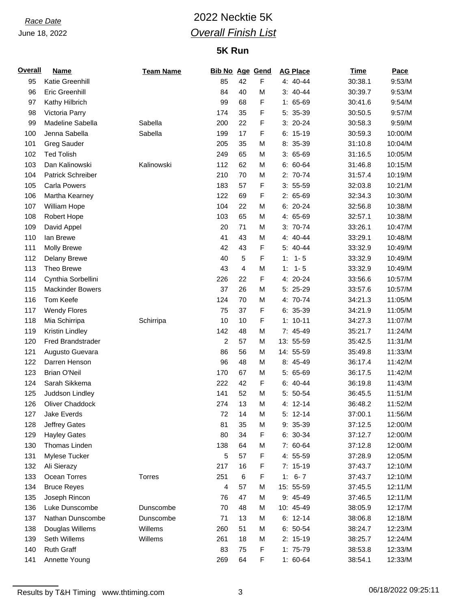# *Race Date* 2022 Necktie 5K *Overall Finish List*

## **5K Run**

| <b>Overall</b> | <b>Name</b>              | <b>Team Name</b> | <b>Bib No Age Gend</b> |    |   | <b>AG Place</b> | <b>Time</b> | Pace               |
|----------------|--------------------------|------------------|------------------------|----|---|-----------------|-------------|--------------------|
| 95             | Katie Greenhill          |                  | 85                     | 42 | F | 4: 40-44        | 30:38.1     | 9:53/M             |
| 96             | <b>Eric Greenhill</b>    |                  | 84                     | 40 | M | $3: 40-44$      | 30:39.7     | 9:53/M             |
| 97             | Kathy Hilbrich           |                  | 99                     | 68 | F | $1: 65-69$      | 30:41.6     | 9:54/M             |
| 98             | Victoria Parry           |                  | 174                    | 35 | F | 5: 35-39        | 30:50.5     | 9:57/M             |
| 99             | Madeline Sabella         | Sabella          | 200                    | 22 | F | $3: 20-24$      | 30:58.3     | 9:59/M             |
| 100            | Jenna Sabella            | Sabella          | 199                    | 17 | F | $6: 15-19$      | 30:59.3     | 10:00/M            |
| 101            | <b>Greg Sauder</b>       |                  | 205                    | 35 | M | 8: 35-39        | 31:10.8     | 10:04/M            |
| 102            | <b>Ted Tolish</b>        |                  | 249                    | 65 | M | $3:65-69$       | 31:16.5     | 10:05/M            |
| 103            | Dan Kalinowski           | Kalinowski       | 112                    | 62 | М | $6: 60-64$      | 31:46.8     | 10:15/M            |
| 104            | Patrick Schreiber        |                  | 210                    | 70 | M | 2: 70-74        | 31:57.4     | 10:19/M            |
| 105            | <b>Carla Powers</b>      |                  | 183                    | 57 | F | $3: 55-59$      | 32:03.8     | 10:21/M            |
| 106            | Martha Kearney           |                  | 122                    | 69 | F | 2: 65-69        | 32:34.3     | 10:30/M            |
| 107            | William Hope             |                  | 104                    | 22 | M | 6: 20-24        | 32:56.8     | 10:38/M            |
| 108            | Robert Hope              |                  | 103                    | 65 | M | 4: 65-69        | 32:57.1     | 10:38/M            |
| 109            | David Appel              |                  | 20                     | 71 | M | 3: 70-74        | 33:26.1     | 10:47/M            |
| 110            | lan Brewe                |                  | 41                     | 43 | М | 4: 40-44        | 33:29.1     | 10:48/M            |
| 111            | <b>Molly Brewe</b>       |                  | 42                     | 43 | F | 5: 40-44        | 33:32.9     | 10:49/M            |
| 112            | Delany Brewe             |                  | 40                     | 5  | F | 1:<br>$1 - 5$   | 33:32.9     | 10:49/M            |
| 113            | Theo Brewe               |                  | 43                     | 4  | M | $1 - 5$<br>1:   | 33:32.9     | 10:49/M            |
| 114            | Cynthia Sorbellini       |                  | 226                    | 22 | F | 4: 20-24        | 33:56.6     | 10:57/M            |
| 115            | <b>Mackinder Bowers</b>  |                  | 37                     | 26 | М | 5: 25-29        | 33:57.6     | 10:57/M            |
| 116            | Tom Keefe                |                  | 124                    | 70 | M | 4: 70-74        | 34:21.3     | 11:05/M            |
| 117            | <b>Wendy Flores</b>      |                  | 75                     | 37 | F | $6: 35-39$      | 34:21.9     | 11:05/M            |
| 118            | Mia Schirripa            | Schirripa        | 10                     | 10 | F | $1: 10-11$      | 34:27.3     | 11:07/M            |
| 119            | Kristin Lindley          |                  | 142                    | 48 | М | 7: 45-49        | 35:21.7     | 11:24/M            |
| 120            | <b>Fred Brandstrader</b> |                  | 2                      | 57 | M | 13: 55-59       | 35:42.5     | 11:31/M            |
| 121            | Augusto Guevara          |                  | 86                     | 56 | M | 14: 55-59       | 35:49.8     | 11:33/M            |
| 122            | Darren Henson            |                  | 96                     | 48 | M | 8: 45-49        | 36:17.4     | 11:42/M            |
| 123            | <b>Brian O'Neil</b>      |                  | 170                    | 67 | М | 5: 65-69        | 36:17.5     | 11:42/M            |
| 124            | Sarah Sikkema            |                  | 222                    | 42 | F | $6: 40-44$      | 36:19.8     | 11:43/M            |
| 125            | Juddson Lindley          |                  | 141                    | 52 | M | 5: 50-54        | 36:45.5     | 11:51/M            |
| 126            | Oliver Chaddock          |                  | 274                    | 13 | M | 4: 12-14        | 36:48.2     | 11:52/M            |
| 127            | Jake Everds              |                  | 72                     | 14 | М | $5: 12-14$      | 37:00.1     | 11:56/M            |
| 128            | Jeffrey Gates            |                  | 81                     | 35 | M | 9: 35-39        | 37:12.5     | 12:00/M            |
| 129            | <b>Hayley Gates</b>      |                  | 80                     | 34 | F | $6: 30-34$      | 37:12.7     | 12:00/M            |
| 130            | Thomas Linden            |                  | 138                    | 64 | М | 7: 60-64        | 37:12.8     | 12:00/M            |
| 131            | Mylese Tucker            |                  | 5                      | 57 |   | 4: 55-59        |             | 12:05/M            |
| 132            |                          |                  | 217                    | 16 | F | $7: 15-19$      | 37:28.9     | 12:10/M            |
|                | Ali Sierazy              |                  |                        |    | F |                 | 37:43.7     |                    |
| 133            | Ocean Torres             | Torres           | 251                    | 6  | F | 1: $6 - 7$      | 37:43.7     | 12:10/M<br>12:11/M |
| 134            | <b>Bruce Reyes</b>       |                  | 4                      | 57 | M | 15: 55-59       | 37:45.5     |                    |
| 135            | Joseph Rincon            |                  | 76                     | 47 | M | 9: 45-49        | 37:46.5     | 12:11/M            |
| 136            | Luke Dunscombe           | Dunscombe        | 70                     | 48 | M | 10: 45-49       | 38:05.9     | 12:17/M            |
| 137            | Nathan Dunscombe         | Dunscombe        | 71                     | 13 | M | $6: 12-14$      | 38:06.8     | 12:18/M            |
| 138            | Douglas Willems          | Willems          | 260                    | 51 | M | $6: 50-54$      | 38:24.7     | 12:23/M            |
| 139            | Seth Willems             | Willems          | 261                    | 18 | M | $2: 15-19$      | 38:25.7     | 12:24/M            |
| 140            | <b>Ruth Graff</b>        |                  | 83                     | 75 | F | 1: 75-79        | 38:53.8     | 12:33/M            |
| 141            | Annette Young            |                  | 269                    | 64 | F | $1: 60-64$      | 38:54.1     | 12:33/M            |

Results by T&H Timing www.thtiming.com 3 3 06/18/2022 09:25:11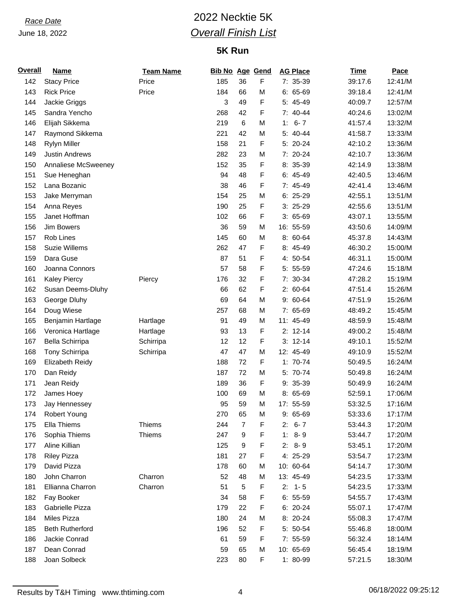# *Race Date* 2022 Necktie 5K *Overall Finish List*

## **5K Run**

| <b>Overall</b> | <u>Name</u>            | <b>Team Name</b> | <b>Bib No Age Gend</b> |                |   | <b>AG Place</b> | <b>Time</b> | Pace    |
|----------------|------------------------|------------------|------------------------|----------------|---|-----------------|-------------|---------|
| 142            | <b>Stacy Price</b>     | Price            | 185                    | 36             | F | 7: 35-39        | 39:17.6     | 12:41/M |
| 143            | <b>Rick Price</b>      | Price            | 184                    | 66             | M | $6: 65-69$      | 39:18.4     | 12:41/M |
| 144            | Jackie Griggs          |                  | 3                      | 49             | F | 5: 45-49        | 40:09.7     | 12:57/M |
| 145            | Sandra Yencho          |                  | 268                    | 42             | F | 7: 40-44        | 40:24.6     | 13:02/M |
| 146            | Elijah Sikkema         |                  | 219                    | 6              | M | $6 - 7$<br>1:   | 41:57.4     | 13:32/M |
| 147            | Raymond Sikkema        |                  | 221                    | 42             | M | 5: 40-44        | 41:58.7     | 13:33/M |
| 148            | <b>Rylyn Miller</b>    |                  | 158                    | 21             | F | 5: 20-24        | 42:10.2     | 13:36/M |
| 149            | <b>Justin Andrews</b>  |                  | 282                    | 23             | M | 7: 20-24        | 42:10.7     | 13:36/M |
| 150            | Annaliese McSweeney    |                  | 152                    | 35             | F | 8: 35-39        | 42:14.9     | 13:38/M |
| 151            | Sue Heneghan           |                  | 94                     | 48             | F | $6: 45-49$      | 42:40.5     | 13:46/M |
| 152            | Lana Bozanic           |                  | 38                     | 46             | F | 7: 45-49        | 42:41.4     | 13:46/M |
| 153            | Jake Merryman          |                  | 154                    | 25             | M | $6: 25-29$      | 42:55.1     | 13:51/M |
| 154            | Anna Reyes             |                  | 190                    | 25             | F | $3: 25-29$      | 42:55.6     | 13:51/M |
| 155            | Janet Hoffman          |                  | 102                    | 66             | F | $3:65-69$       | 43:07.1     | 13:55/M |
| 156            | <b>Jim Bowers</b>      |                  | 36                     | 59             | M | 16: 55-59       | 43:50.6     | 14:09/M |
| 157            | Rob Lines              |                  | 145                    | 60             | M | 8: 60-64        | 45:37.8     | 14:43/M |
| 158            | <b>Suzie Willems</b>   |                  | 262                    | 47             | F | 8: 45-49        | 46:30.2     | 15:00/M |
| 159            | Dara Guse              |                  | 87                     | 51             | F | 4: 50-54        | 46:31.1     | 15:00/M |
| 160            | Joanna Connors         |                  | 57                     | 58             | F | 5: 55-59        | 47:24.6     | 15:18/M |
| 161            | <b>Kaley Piercy</b>    | Piercy           | 176                    | 32             | F | 7: 30-34        | 47:28.2     | 15:19/M |
| 162            | Susan Deems-Dluhy      |                  | 66                     | 62             | F | $2: 60-64$      | 47:51.4     | 15:26/M |
| 163            | George Dluhy           |                  | 69                     | 64             | M | $9:60-64$       | 47:51.9     | 15:26/M |
| 164            | Doug Wiese             |                  | 257                    | 68             | M | 7: 65-69        | 48:49.2     | 15:45/M |
| 165            | Benjamin Hartlage      | Hartlage         | 91                     | 49             | M | 11: 45-49       | 48:59.9     | 15:48/M |
| 166            | Veronica Hartlage      | Hartlage         | 93                     | 13             | F | $2: 12 - 14$    | 49:00.2     | 15:48/M |
| 167            | Bella Schirripa        | Schirripa        | 12                     | 12             | F | $3: 12-14$      | 49:10.1     | 15:52/M |
| 168            | Tony Schirripa         | Schirripa        | 47                     | 47             | M | 12: 45-49       | 49:10.9     | 15:52/M |
| 169            | <b>Elizabeth Reidy</b> |                  | 188                    | 72             | F | 1: 70-74        | 50:49.5     | 16:24/M |
| 170            | Dan Reidy              |                  | 187                    | 72             | M | 5: 70-74        | 50:49.8     | 16:24/M |
| 171            | Jean Reidy             |                  | 189                    | 36             | F | 9: 35-39        | 50:49.9     | 16:24/M |
| 172            | James Hoey             |                  | 100                    | 69             | M | 8: 65-69        | 52:59.1     | 17:06/M |
| 173            | Jay Hennessey          |                  | 95                     | 59             | M | 17: 55-59       | 53:32.5     | 17:16/M |
| 174            | <b>Robert Young</b>    |                  | 270                    | 65             | M | 9: 65-69        | 53:33.6     | 17:17/M |
| 175            | Ella Thiems            | <b>Thiems</b>    | 244                    | $\overline{7}$ | F | $6 - 7$<br>2:   | 53:44.3     | 17:20/M |
| 176            | Sophia Thiems          | <b>Thiems</b>    | 247                    | 9              | F | $8 - 9$<br>1:   | 53:44.7     | 17:20/M |
| 177            | Aline Killian          |                  | 125                    | 9              | F | $2: 8-9$        | 53:45.1     | 17:20/M |
| 178            | <b>Riley Pizza</b>     |                  | 181                    | 27             | F | 4: 25-29        | 53:54.7     | 17:23/M |
| 179            | David Pizza            |                  | 178                    | 60             | M | 10: 60-64       | 54:14.7     | 17:30/M |
| 180            | John Charron           | Charron          | 52                     | 48             | M | 13: 45-49       | 54:23.5     | 17:33/M |
| 181            | Ellianna Charron       | Charron          | 51                     | 5              | F | $2: 1 - 5$      | 54:23.5     | 17:33/M |
| 182            | Fay Booker             |                  | 34                     | 58             | F | $6: 55-59$      | 54:55.7     | 17:43/M |
| 183            | Gabrielle Pizza        |                  | 179                    | 22             | F | $6: 20-24$      | 55:07.1     | 17:47/M |
| 184            | Miles Pizza            |                  | 180                    | 24             | M | 8: 20-24        | 55:08.3     | 17:47/M |
| 185            | <b>Beth Rutherford</b> |                  | 196                    | 52             | F | 5: 50-54        | 55:46.8     | 18:00/M |
| 186            | Jackie Conrad          |                  | 61                     | 59             | F | 7: 55-59        | 56:32.4     | 18:14/M |
| 187            | Dean Conrad            |                  | 59                     | 65             | M | 10: 65-69       | 56:45.4     | 18:19/M |
| 188            | Joan Solbeck           |                  | 223                    | 80             | F | 1: 80-99        | 57:21.5     | 18:30/M |
|                |                        |                  |                        |                |   |                 |             |         |

Results by T&H Timing www.thtiming.com 4 4 06/18/2022 09:25:12